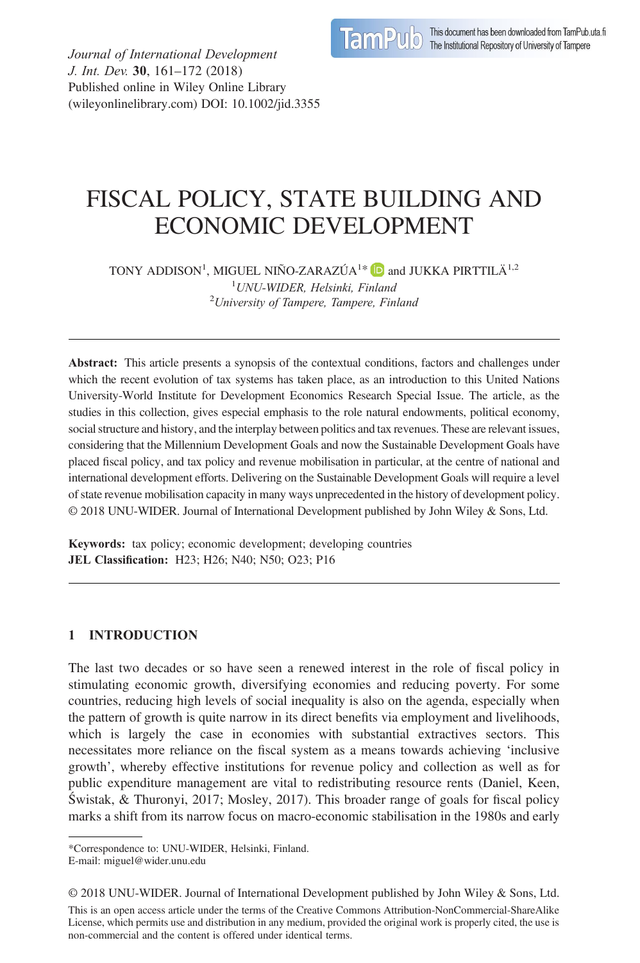

Journal of International Development J. Int. Dev. 30, 161–172 (2018) Published online in Wiley Online Library (wileyonlinelibrary.com) DOI: 10.1002/jid.3355

# FISCAL POLICY, STATE BUILDING AND ECONOMIC DEVELOPMENT

TONY ADDISON<sup>1</sup>, MIGUEL NIÑO-ZARAZÚA<sup>1\*</sup> **ID** and JUKKA PIRTTILÄ<sup>1,2</sup> <sup>1</sup> UNU-WIDER, Helsinki, Finland<br><sup>2</sup> University of Tampere, Tampere, Fin  $2$ University of Tampere, Tampere, Finland

Abstract: This article presents a synopsis of the contextual conditions, factors and challenges under which the recent evolution of tax systems has taken place, as an introduction to this United Nations University-World Institute for Development Economics Research Special Issue. The article, as the studies in this collection, gives especial emphasis to the role natural endowments, political economy, social structure and history, and the interplay between politics and tax revenues. These are relevant issues, considering that the Millennium Development Goals and now the Sustainable Development Goals have placed fiscal policy, and tax policy and revenue mobilisation in particular, at the centre of national and international development efforts. Delivering on the Sustainable Development Goals will require a level of state revenue mobilisation capacity in many ways unprecedented in the history of development policy. © 2018 UNU-WIDER. Journal of International Development published by John Wiley & Sons, Ltd.

Keywords: tax policy; economic development; developing countries JEL Classification: H23; H26; N40; N50; O23; P16

## 1 INTRODUCTION

The last two decades or so have seen a renewed interest in the role of fiscal policy in stimulating economic growth, diversifying economies and reducing poverty. For some countries, reducing high levels of social inequality is also on the agenda, especially when the pattern of growth is quite narrow in its direct benefits via employment and livelihoods, which is largely the case in economies with substantial extractives sectors. This necessitates more reliance on the fiscal system as a means towards achieving 'inclusive growth', whereby effective institutions for revenue policy and collection as well as for public expenditure management are vital to redistributing resource rents (Daniel, Keen, Świstak, & Thuronyi, 2017; Mosley, 2017). This broader range of goals for fiscal policy marks a shift from its narrow focus on macro-economic stabilisation in the 1980s and early

<sup>\*</sup>Correspondence to: UNU-WIDER, Helsinki, Finland.

E-mail: miguel@wider.unu.edu

<sup>© 2018</sup> UNU-WIDER. Journal of International Development published by John Wiley & Sons, Ltd.

This is an open access article under the terms of the [Creative Commons Attribution-NonCommercial-ShareAlike](http://creativecommons.org/licenses/by-nc-sa/4.0/) License, which permits use and distribution in any medium, provided the original work is properly cited, the use is non-commercial and the content is offered under identical terms.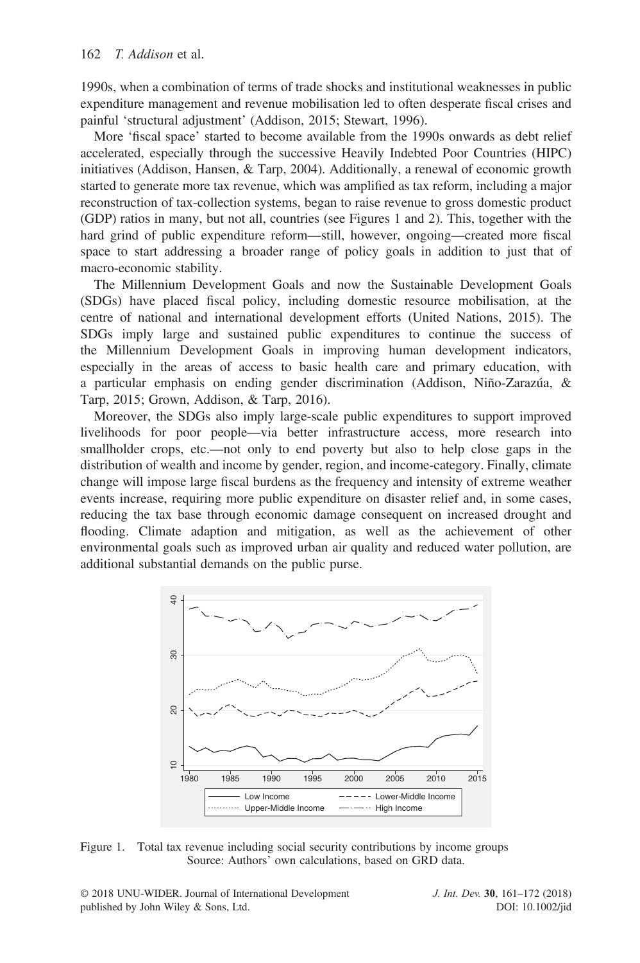1990s, when a combination of terms of trade shocks and institutional weaknesses in public expenditure management and revenue mobilisation led to often desperate fiscal crises and painful 'structural adjustment' (Addison, 2015; Stewart, 1996).

More 'fiscal space' started to become available from the 1990s onwards as debt relief accelerated, especially through the successive Heavily Indebted Poor Countries (HIPC) initiatives (Addison, Hansen, & Tarp, 2004). Additionally, a renewal of economic growth started to generate more tax revenue, which was amplified as tax reform, including a major reconstruction of tax-collection systems, began to raise revenue to gross domestic product (GDP) ratios in many, but not all, countries (see Figures 1 and 2). This, together with the hard grind of public expenditure reform—still, however, ongoing—created more fiscal space to start addressing a broader range of policy goals in addition to just that of macro-economic stability.

The Millennium Development Goals and now the Sustainable Development Goals (SDGs) have placed fiscal policy, including domestic resource mobilisation, at the centre of national and international development efforts (United Nations, 2015). The SDGs imply large and sustained public expenditures to continue the success of the Millennium Development Goals in improving human development indicators, especially in the areas of access to basic health care and primary education, with a particular emphasis on ending gender discrimination (Addison, Niño-Zarazúa, & Tarp, 2015; Grown, Addison, & Tarp, 2016).

Moreover, the SDGs also imply large-scale public expenditures to support improved livelihoods for poor people—via better infrastructure access, more research into smallholder crops, etc.—not only to end poverty but also to help close gaps in the distribution of wealth and income by gender, region, and income-category. Finally, climate change will impose large fiscal burdens as the frequency and intensity of extreme weather events increase, requiring more public expenditure on disaster relief and, in some cases, reducing the tax base through economic damage consequent on increased drought and flooding. Climate adaption and mitigation, as well as the achievement of other environmental goals such as improved urban air quality and reduced water pollution, are additional substantial demands on the public purse.



Figure 1. Total tax revenue including social security contributions by income groups Source: Authors' own calculations, based on GRD data.

© 2018 UNU-WIDER. Journal of International Development published by John Wiley & Sons, Ltd.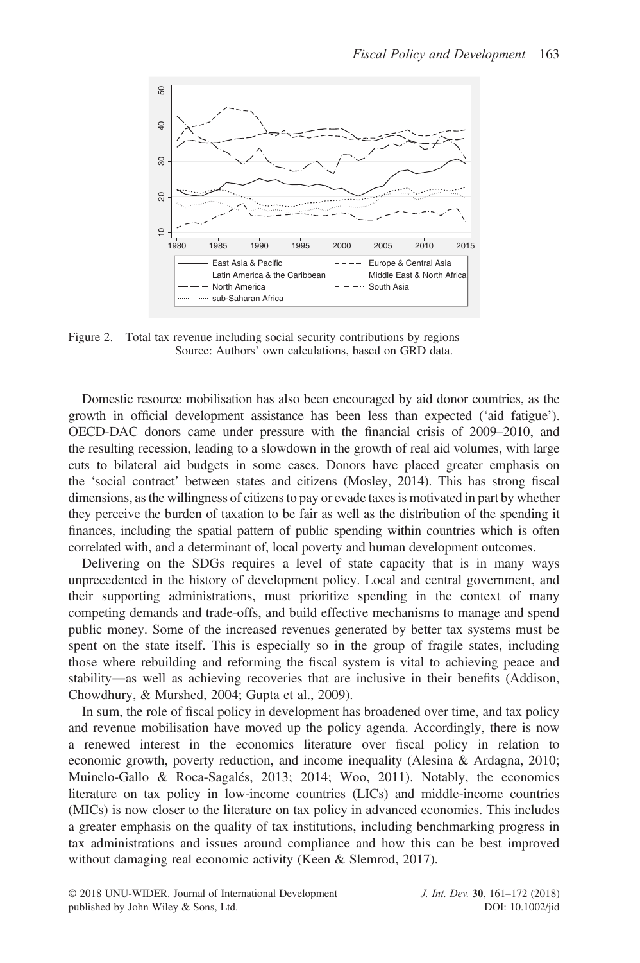

Figure 2. Total tax revenue including social security contributions by regions Source: Authors' own calculations, based on GRD data.

Domestic resource mobilisation has also been encouraged by aid donor countries, as the growth in official development assistance has been less than expected ('aid fatigue'). OECD-DAC donors came under pressure with the financial crisis of 2009–2010, and the resulting recession, leading to a slowdown in the growth of real aid volumes, with large cuts to bilateral aid budgets in some cases. Donors have placed greater emphasis on the 'social contract' between states and citizens (Mosley, 2014). This has strong fiscal dimensions, as the willingness of citizens to pay or evade taxes is motivated in part by whether they perceive the burden of taxation to be fair as well as the distribution of the spending it finances, including the spatial pattern of public spending within countries which is often correlated with, and a determinant of, local poverty and human development outcomes.

Delivering on the SDGs requires a level of state capacity that is in many ways unprecedented in the history of development policy. Local and central government, and their supporting administrations, must prioritize spending in the context of many competing demands and trade-offs, and build effective mechanisms to manage and spend public money. Some of the increased revenues generated by better tax systems must be spent on the state itself. This is especially so in the group of fragile states, including those where rebuilding and reforming the fiscal system is vital to achieving peace and stability―as well as achieving recoveries that are inclusive in their benefits (Addison, Chowdhury, & Murshed, 2004; Gupta et al., 2009).

In sum, the role of fiscal policy in development has broadened over time, and tax policy and revenue mobilisation have moved up the policy agenda. Accordingly, there is now a renewed interest in the economics literature over fiscal policy in relation to economic growth, poverty reduction, and income inequality (Alesina & Ardagna, 2010; Muinelo-Gallo & Roca-Sagalés, 2013; 2014; Woo, 2011). Notably, the economics literature on tax policy in low-income countries (LICs) and middle-income countries (MICs) is now closer to the literature on tax policy in advanced economies. This includes a greater emphasis on the quality of tax institutions, including benchmarking progress in tax administrations and issues around compliance and how this can be best improved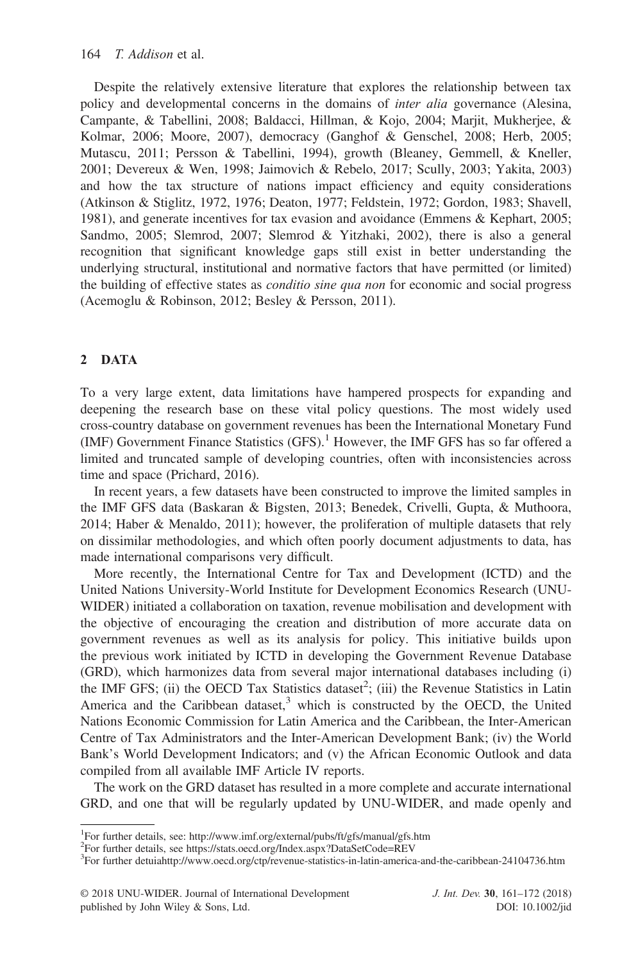Despite the relatively extensive literature that explores the relationship between tax policy and developmental concerns in the domains of *inter alia* governance (Alesina, Campante, & Tabellini, 2008; Baldacci, Hillman, & Kojo, 2004; Marjit, Mukherjee, & Kolmar, 2006; Moore, 2007), democracy (Ganghof & Genschel, 2008; Herb, 2005; Mutascu, 2011; Persson & Tabellini, 1994), growth (Bleaney, Gemmell, & Kneller, 2001; Devereux & Wen, 1998; Jaimovich & Rebelo, 2017; Scully, 2003; Yakita, 2003) and how the tax structure of nations impact efficiency and equity considerations (Atkinson & Stiglitz, 1972, 1976; Deaton, 1977; Feldstein, 1972; Gordon, 1983; Shavell, 1981), and generate incentives for tax evasion and avoidance (Emmens & Kephart, 2005; Sandmo, 2005; Slemrod, 2007; Slemrod & Yitzhaki, 2002), there is also a general recognition that significant knowledge gaps still exist in better understanding the underlying structural, institutional and normative factors that have permitted (or limited) the building of effective states as *conditio sine qua non* for economic and social progress (Acemoglu & Robinson, 2012; Besley & Persson, 2011).

### 2 DATA

To a very large extent, data limitations have hampered prospects for expanding and deepening the research base on these vital policy questions. The most widely used cross-country database on government revenues has been the International Monetary Fund (IMF) Government Finance Statistics  $(GFS)$ .<sup>1</sup> However, the IMF GFS has so far offered a limited and truncated sample of developing countries, often with inconsistencies across time and space (Prichard, 2016).

In recent years, a few datasets have been constructed to improve the limited samples in the IMF GFS data (Baskaran & Bigsten, 2013; Benedek, Crivelli, Gupta, & Muthoora, 2014; Haber & Menaldo, 2011); however, the proliferation of multiple datasets that rely on dissimilar methodologies, and which often poorly document adjustments to data, has made international comparisons very difficult.

More recently, the International Centre for Tax and Development (ICTD) and the United Nations University-World Institute for Development Economics Research (UNU-WIDER) initiated a collaboration on taxation, revenue mobilisation and development with the objective of encouraging the creation and distribution of more accurate data on government revenues as well as its analysis for policy. This initiative builds upon the previous work initiated by ICTD in developing the Government Revenue Database (GRD), which harmonizes data from several major international databases including (i) the IMF GFS; (ii) the OECD Tax Statistics dataset<sup>2</sup>; (iii) the Revenue Statistics in Latin America and the Caribbean dataset, $3$  which is constructed by the OECD, the United Nations Economic Commission for Latin America and the Caribbean, the Inter-American Centre of Tax Administrators and the Inter-American Development Bank; (iv) the World Bank's World Development Indicators; and (v) the African Economic Outlook and data compiled from all available IMF Article IV reports.

The work on the GRD dataset has resulted in a more complete and accurate international GRD, and one that will be regularly updated by UNU-WIDER, and made openly and

<sup>&</sup>lt;sup>1</sup>For further details, see:<http://www.imf.org/external/pubs/ft/gfs/manual/gfs.htm>

<sup>2</sup> For further details, see<https://stats.oecd.org/Index.aspx?DataSetCode=REV>

<sup>&</sup>lt;sup>3</sup>For further detuiahttp://[www.oecd.org/ctp/revenue-statistics-in-latin-america-and-the-caribbean-24104736.htm](http://www.oecd.org/ctp/revenue-statistics-in-latin-america-and-the-caribbean-24104736.htm)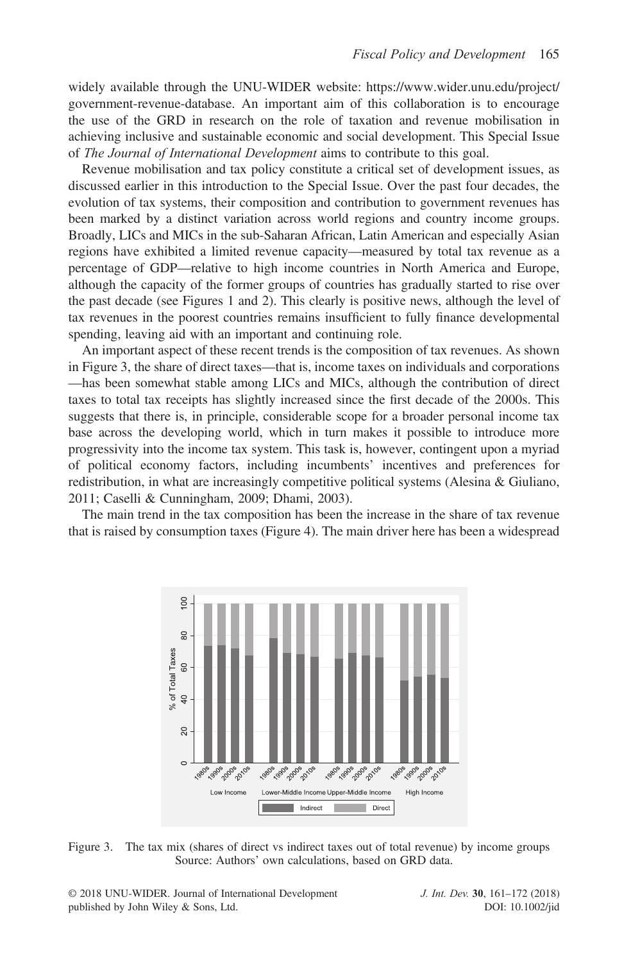widely available through the UNU-WIDER website: [https://www.wider.unu.edu/project/](https://www.wider.unu.edu/project/government-revenue-database) [government-revenue-database](https://www.wider.unu.edu/project/government-revenue-database). An important aim of this collaboration is to encourage the use of the GRD in research on the role of taxation and revenue mobilisation in achieving inclusive and sustainable economic and social development. This Special Issue of The Journal of International Development aims to contribute to this goal.

Revenue mobilisation and tax policy constitute a critical set of development issues, as discussed earlier in this introduction to the Special Issue. Over the past four decades, the evolution of tax systems, their composition and contribution to government revenues has been marked by a distinct variation across world regions and country income groups. Broadly, LICs and MICs in the sub-Saharan African, Latin American and especially Asian regions have exhibited a limited revenue capacity—measured by total tax revenue as a percentage of GDP—relative to high income countries in North America and Europe, although the capacity of the former groups of countries has gradually started to rise over the past decade (see Figures 1 and 2). This clearly is positive news, although the level of tax revenues in the poorest countries remains insufficient to fully finance developmental spending, leaving aid with an important and continuing role.

An important aspect of these recent trends is the composition of tax revenues. As shown in Figure 3, the share of direct taxes—that is, income taxes on individuals and corporations —has been somewhat stable among LICs and MICs, although the contribution of direct taxes to total tax receipts has slightly increased since the first decade of the 2000s. This suggests that there is, in principle, considerable scope for a broader personal income tax base across the developing world, which in turn makes it possible to introduce more progressivity into the income tax system. This task is, however, contingent upon a myriad of political economy factors, including incumbents' incentives and preferences for redistribution, in what are increasingly competitive political systems (Alesina & Giuliano, 2011; Caselli & Cunningham, 2009; Dhami, 2003).

The main trend in the tax composition has been the increase in the share of tax revenue that is raised by consumption taxes (Figure 4). The main driver here has been a widespread





© 2018 UNU-WIDER. Journal of International Development published by John Wiley & Sons, Ltd.

J. Int. Dev. 30, 161–172 (2018) DOI: 10.1002/jid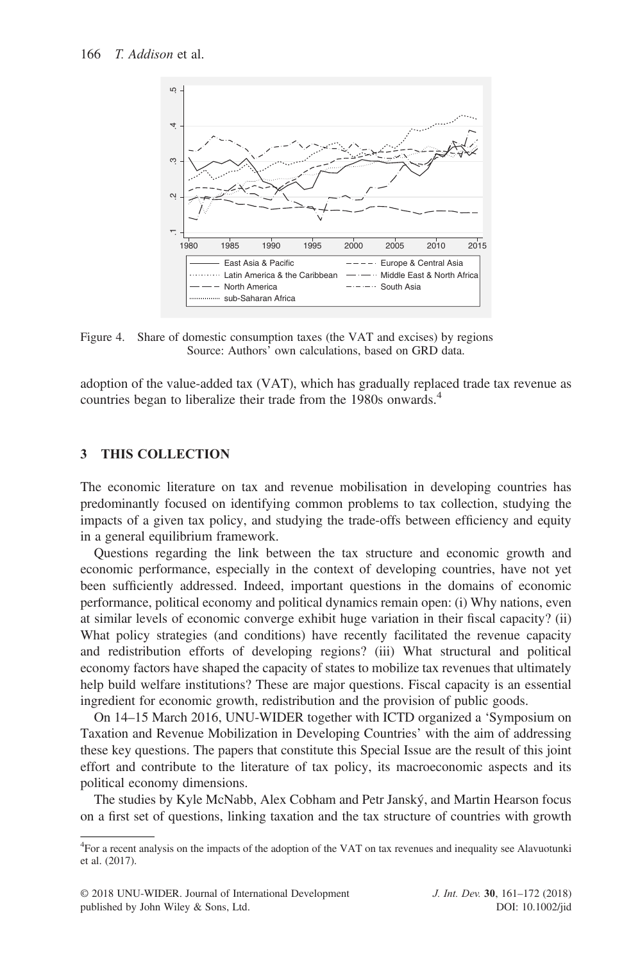

Figure 4. Share of domestic consumption taxes (the VAT and excises) by regions Source: Authors' own calculations, based on GRD data.

adoption of the value-added tax (VAT), which has gradually replaced trade tax revenue as countries began to liberalize their trade from the 1980s onwards.<sup>4</sup>

### 3 THIS COLLECTION

The economic literature on tax and revenue mobilisation in developing countries has predominantly focused on identifying common problems to tax collection, studying the impacts of a given tax policy, and studying the trade-offs between efficiency and equity in a general equilibrium framework.

Questions regarding the link between the tax structure and economic growth and economic performance, especially in the context of developing countries, have not yet been sufficiently addressed. Indeed, important questions in the domains of economic performance, political economy and political dynamics remain open: (i) Why nations, even at similar levels of economic converge exhibit huge variation in their fiscal capacity? (ii) What policy strategies (and conditions) have recently facilitated the revenue capacity and redistribution efforts of developing regions? (iii) What structural and political economy factors have shaped the capacity of states to mobilize tax revenues that ultimately help build welfare institutions? These are major questions. Fiscal capacity is an essential ingredient for economic growth, redistribution and the provision of public goods.

On 14–15 March 2016, UNU-WIDER together with ICTD organized a 'Symposium on Taxation and Revenue Mobilization in Developing Countries' with the aim of addressing these key questions. The papers that constitute this Special Issue are the result of this joint effort and contribute to the literature of tax policy, its macroeconomic aspects and its political economy dimensions.

The studies by Kyle McNabb, Alex Cobham and Petr Janský, and Martin Hearson focus on a first set of questions, linking taxation and the tax structure of countries with growth

<sup>&</sup>lt;sup>4</sup>For a recent analysis on the impacts of the adoption of the VAT on tax revenues and inequality see Alavuotunki et al. (2017).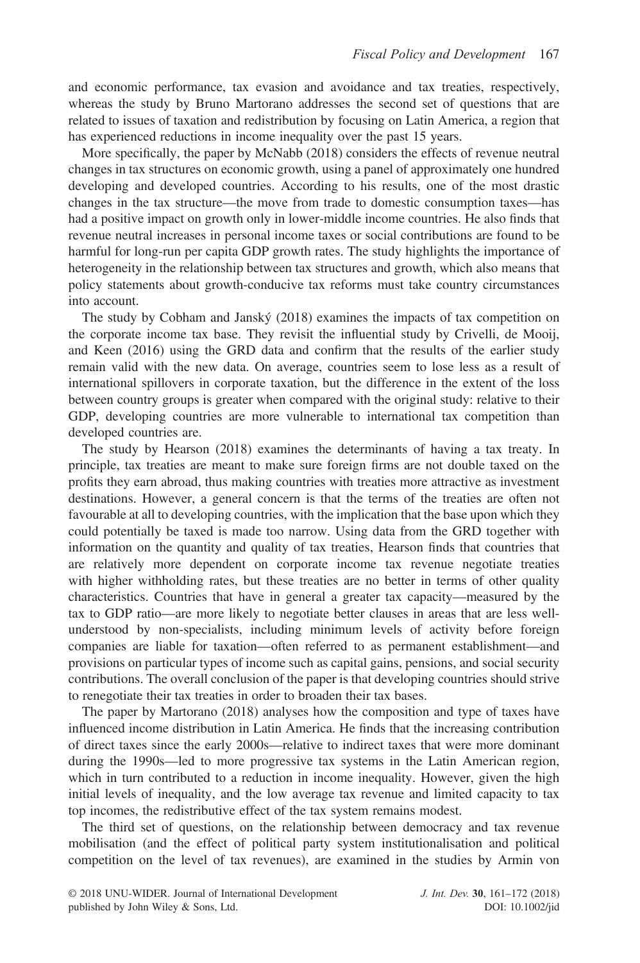and economic performance, tax evasion and avoidance and tax treaties, respectively, whereas the study by Bruno Martorano addresses the second set of questions that are related to issues of taxation and redistribution by focusing on Latin America, a region that has experienced reductions in income inequality over the past 15 years.

More specifically, the paper by McNabb (2018) considers the effects of revenue neutral changes in tax structures on economic growth, using a panel of approximately one hundred developing and developed countries. According to his results, one of the most drastic changes in the tax structure—the move from trade to domestic consumption taxes—has had a positive impact on growth only in lower-middle income countries. He also finds that revenue neutral increases in personal income taxes or social contributions are found to be harmful for long-run per capita GDP growth rates. The study highlights the importance of heterogeneity in the relationship between tax structures and growth, which also means that policy statements about growth-conducive tax reforms must take country circumstances into account.

The study by Cobham and Janský (2018) examines the impacts of tax competition on the corporate income tax base. They revisit the influential study by Crivelli, de Mooij, and Keen (2016) using the GRD data and confirm that the results of the earlier study remain valid with the new data. On average, countries seem to lose less as a result of international spillovers in corporate taxation, but the difference in the extent of the loss between country groups is greater when compared with the original study: relative to their GDP, developing countries are more vulnerable to international tax competition than developed countries are.

The study by Hearson (2018) examines the determinants of having a tax treaty. In principle, tax treaties are meant to make sure foreign firms are not double taxed on the profits they earn abroad, thus making countries with treaties more attractive as investment destinations. However, a general concern is that the terms of the treaties are often not favourable at all to developing countries, with the implication that the base upon which they could potentially be taxed is made too narrow. Using data from the GRD together with information on the quantity and quality of tax treaties, Hearson finds that countries that are relatively more dependent on corporate income tax revenue negotiate treaties with higher withholding rates, but these treaties are no better in terms of other quality characteristics. Countries that have in general a greater tax capacity—measured by the tax to GDP ratio—are more likely to negotiate better clauses in areas that are less wellunderstood by non-specialists, including minimum levels of activity before foreign companies are liable for taxation—often referred to as permanent establishment—and provisions on particular types of income such as capital gains, pensions, and social security contributions. The overall conclusion of the paper is that developing countries should strive to renegotiate their tax treaties in order to broaden their tax bases.

The paper by Martorano (2018) analyses how the composition and type of taxes have influenced income distribution in Latin America. He finds that the increasing contribution of direct taxes since the early 2000s—relative to indirect taxes that were more dominant during the 1990s—led to more progressive tax systems in the Latin American region, which in turn contributed to a reduction in income inequality. However, given the high initial levels of inequality, and the low average tax revenue and limited capacity to tax top incomes, the redistributive effect of the tax system remains modest.

The third set of questions, on the relationship between democracy and tax revenue mobilisation (and the effect of political party system institutionalisation and political competition on the level of tax revenues), are examined in the studies by Armin von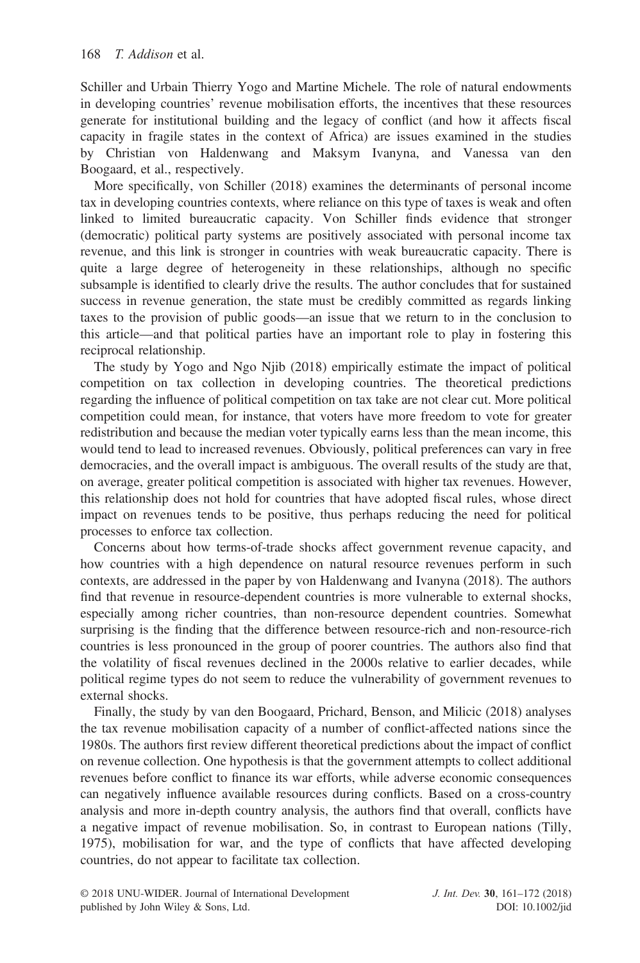Schiller and Urbain Thierry Yogo and Martine Michele. The role of natural endowments in developing countries' revenue mobilisation efforts, the incentives that these resources generate for institutional building and the legacy of conflict (and how it affects fiscal capacity in fragile states in the context of Africa) are issues examined in the studies by Christian von Haldenwang and Maksym Ivanyna, and Vanessa van den Boogaard, et al., respectively.

More specifically, von Schiller (2018) examines the determinants of personal income tax in developing countries contexts, where reliance on this type of taxes is weak and often linked to limited bureaucratic capacity. Von Schiller finds evidence that stronger (democratic) political party systems are positively associated with personal income tax revenue, and this link is stronger in countries with weak bureaucratic capacity. There is quite a large degree of heterogeneity in these relationships, although no specific subsample is identified to clearly drive the results. The author concludes that for sustained success in revenue generation, the state must be credibly committed as regards linking taxes to the provision of public goods—an issue that we return to in the conclusion to this article—and that political parties have an important role to play in fostering this reciprocal relationship.

The study by Yogo and Ngo Njib (2018) empirically estimate the impact of political competition on tax collection in developing countries. The theoretical predictions regarding the influence of political competition on tax take are not clear cut. More political competition could mean, for instance, that voters have more freedom to vote for greater redistribution and because the median voter typically earns less than the mean income, this would tend to lead to increased revenues. Obviously, political preferences can vary in free democracies, and the overall impact is ambiguous. The overall results of the study are that, on average, greater political competition is associated with higher tax revenues. However, this relationship does not hold for countries that have adopted fiscal rules, whose direct impact on revenues tends to be positive, thus perhaps reducing the need for political processes to enforce tax collection.

Concerns about how terms-of-trade shocks affect government revenue capacity, and how countries with a high dependence on natural resource revenues perform in such contexts, are addressed in the paper by von Haldenwang and Ivanyna (2018). The authors find that revenue in resource-dependent countries is more vulnerable to external shocks, especially among richer countries, than non-resource dependent countries. Somewhat surprising is the finding that the difference between resource-rich and non-resource-rich countries is less pronounced in the group of poorer countries. The authors also find that the volatility of fiscal revenues declined in the 2000s relative to earlier decades, while political regime types do not seem to reduce the vulnerability of government revenues to external shocks.

Finally, the study by van den Boogaard, Prichard, Benson, and Milicic (2018) analyses the tax revenue mobilisation capacity of a number of conflict-affected nations since the 1980s. The authors first review different theoretical predictions about the impact of conflict on revenue collection. One hypothesis is that the government attempts to collect additional revenues before conflict to finance its war efforts, while adverse economic consequences can negatively influence available resources during conflicts. Based on a cross-country analysis and more in-depth country analysis, the authors find that overall, conflicts have a negative impact of revenue mobilisation. So, in contrast to European nations (Tilly, 1975), mobilisation for war, and the type of conflicts that have affected developing countries, do not appear to facilitate tax collection.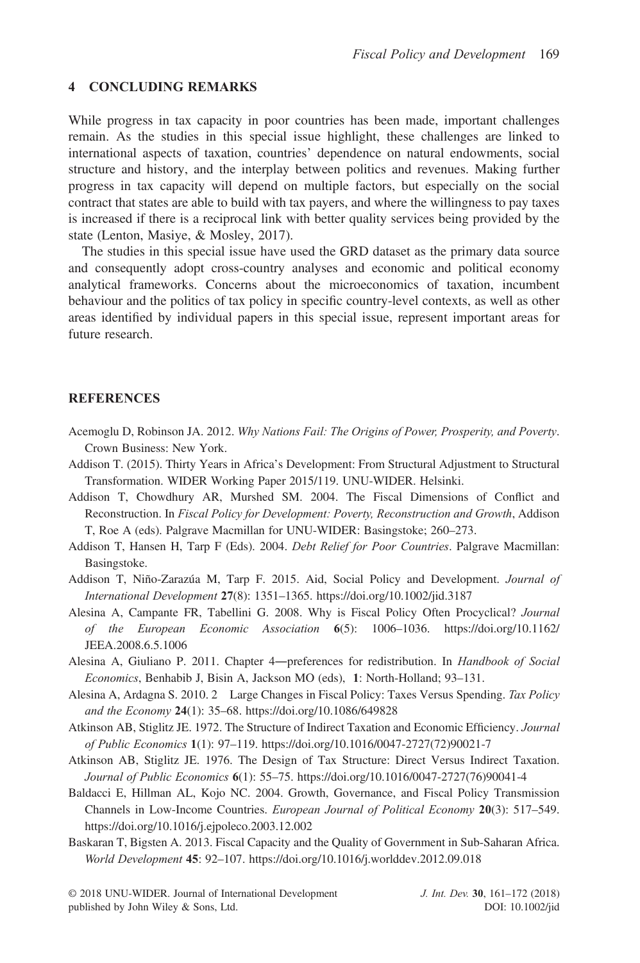#### 4 CONCLUDING REMARKS

While progress in tax capacity in poor countries has been made, important challenges remain. As the studies in this special issue highlight, these challenges are linked to international aspects of taxation, countries' dependence on natural endowments, social structure and history, and the interplay between politics and revenues. Making further progress in tax capacity will depend on multiple factors, but especially on the social contract that states are able to build with tax payers, and where the willingness to pay taxes is increased if there is a reciprocal link with better quality services being provided by the state (Lenton, Masiye, & Mosley, 2017).

The studies in this special issue have used the GRD dataset as the primary data source and consequently adopt cross-country analyses and economic and political economy analytical frameworks. Concerns about the microeconomics of taxation, incumbent behaviour and the politics of tax policy in specific country-level contexts, as well as other areas identified by individual papers in this special issue, represent important areas for future research.

#### **REFERENCES**

- Acemoglu D, Robinson JA. 2012. Why Nations Fail: The Origins of Power, Prosperity, and Poverty. Crown Business: New York.
- Addison T. (2015). Thirty Years in Africa's Development: From Structural Adjustment to Structural Transformation. WIDER Working Paper 2015/119. UNU-WIDER. Helsinki.
- Addison T, Chowdhury AR, Murshed SM. 2004. The Fiscal Dimensions of Conflict and Reconstruction. In Fiscal Policy for Development: Poverty, Reconstruction and Growth, Addison T, Roe A (eds). Palgrave Macmillan for UNU-WIDER: Basingstoke; 260–273.
- Addison T, Hansen H, Tarp F (Eds). 2004. Debt Relief for Poor Countries. Palgrave Macmillan: Basingstoke.
- Addison T, Niño-Zarazúa M, Tarp F. 2015. Aid, Social Policy and Development. Journal of International Development 27(8): 1351–1365.<https://doi.org/10.1002/jid.3187>
- Alesina A, Campante FR, Tabellini G. 2008. Why is Fiscal Policy Often Procyclical? Journal of the European Economic Association 6(5): 1006–1036. [https://doi.org/10.1162/](https://doi.org/10.1162/JEEA.2008.6.5.1006) [JEEA.2008.6.5.1006](https://doi.org/10.1162/JEEA.2008.6.5.1006)
- Alesina A, Giuliano P. 2011. Chapter 4—preferences for redistribution. In *Handbook of Social* Economics, Benhabib J, Bisin A, Jackson MO (eds), 1: North-Holland; 93–131.
- Alesina A, Ardagna S. 2010. 2 Large Changes in Fiscal Policy: Taxes Versus Spending. Tax Policy and the Economy 24(1): 35–68.<https://doi.org/10.1086/649828>
- Atkinson AB, Stiglitz JE. 1972. The Structure of Indirect Taxation and Economic Efficiency. Journal of Public Economics 1(1): 97–119. [https://doi.org/10.1016/0047-2727\(72\)90021-7](https://doi.org/10.1016/0047-2727(72)90021-7)
- Atkinson AB, Stiglitz JE. 1976. The Design of Tax Structure: Direct Versus Indirect Taxation. Journal of Public Economics 6(1): 55–75. [https://doi.org/10.1016/0047-2727\(76\)90041-4](https://doi.org/10.1016/0047-2727(76)90041-4)
- Baldacci E, Hillman AL, Kojo NC. 2004. Growth, Governance, and Fiscal Policy Transmission Channels in Low-Income Countries. European Journal of Political Economy 20(3): 517–549. <https://doi.org/10.1016/j.ejpoleco.2003.12.002>
- Baskaran T, Bigsten A. 2013. Fiscal Capacity and the Quality of Government in Sub-Saharan Africa. World Development 45: 92–107.<https://doi.org/10.1016/j.worlddev.2012.09.018>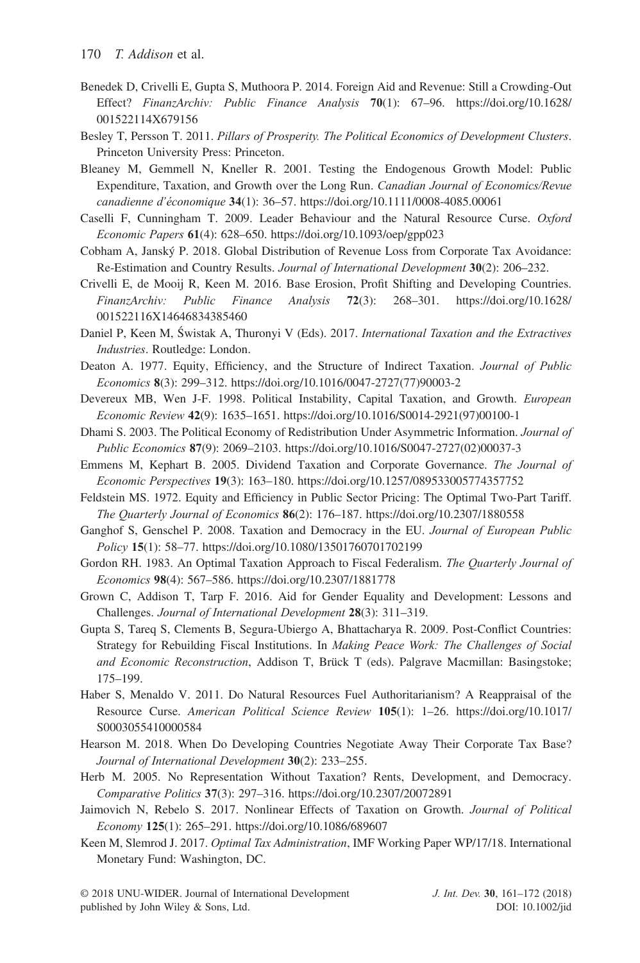- Benedek D, Crivelli E, Gupta S, Muthoora P. 2014. Foreign Aid and Revenue: Still a Crowding-Out Effect? FinanzArchiv: Public Finance Analysis 70(1): 67–96. [https://doi.org/10.1628/](https://doi.org/10.1628/001522114X679156) [001522114X679156](https://doi.org/10.1628/001522114X679156)
- Besley T, Persson T. 2011. Pillars of Prosperity. The Political Economics of Development Clusters. Princeton University Press: Princeton.
- Bleaney M, Gemmell N, Kneller R. 2001. Testing the Endogenous Growth Model: Public Expenditure, Taxation, and Growth over the Long Run. Canadian Journal of Economics/Revue canadienne d'économique 34(1): 36–57.<https://doi.org/10.1111/0008-4085.00061>
- Caselli F, Cunningham T. 2009. Leader Behaviour and the Natural Resource Curse. Oxford Economic Papers 61(4): 628–650.<https://doi.org/10.1093/oep/gpp023>
- Cobham A, Janský P. 2018. Global Distribution of Revenue Loss from Corporate Tax Avoidance: Re-Estimation and Country Results. Journal of International Development 30(2): 206–232.
- Crivelli E, de Mooij R, Keen M. 2016. Base Erosion, Profit Shifting and Developing Countries. FinanzArchiv: Public Finance Analysis 72(3): 268–301. [https://doi.org/10.1628/](https://doi.org/10.1628/001522116X14646834385460) [001522116X14646834385460](https://doi.org/10.1628/001522116X14646834385460)
- Daniel P, Keen M, Świstak A, Thuronyi V (Eds). 2017. International Taxation and the Extractives Industries. Routledge: London.
- Deaton A. 1977. Equity, Efficiency, and the Structure of Indirect Taxation. Journal of Public Economics 8(3): 299–312. [https://doi.org/10.1016/0047-2727\(77\)90003-2](https://doi.org/10.1016/0047-2727(77)90003-2)
- Devereux MB, Wen J-F. 1998. Political Instability, Capital Taxation, and Growth. European Economic Review 42(9): 1635–1651. [https://doi.org/10.1016/S0014-2921\(97\)00100-1](https://doi.org/10.1016/S0014-2921(97)00100-1)
- Dhami S. 2003. The Political Economy of Redistribution Under Asymmetric Information. Journal of Public Economics 87(9): 2069–2103. [https://doi.org/10.1016/S0047-2727\(02\)00037-3](https://doi.org/10.1016/S0047-2727(02)00037-3)
- Emmens M, Kephart B. 2005. Dividend Taxation and Corporate Governance. The Journal of Economic Perspectives 19(3): 163–180.<https://doi.org/10.1257/089533005774357752>
- Feldstein MS. 1972. Equity and Efficiency in Public Sector Pricing: The Optimal Two-Part Tariff. The Quarterly Journal of Economics 86(2): 176–187.<https://doi.org/10.2307/1880558>
- Ganghof S, Genschel P. 2008. Taxation and Democracy in the EU. Journal of European Public Policy 15(1): 58–77.<https://doi.org/10.1080/13501760701702199>
- Gordon RH. 1983. An Optimal Taxation Approach to Fiscal Federalism. The Quarterly Journal of Economics 98(4): 567–586.<https://doi.org/10.2307/1881778>
- Grown C, Addison T, Tarp F. 2016. Aid for Gender Equality and Development: Lessons and Challenges. Journal of International Development 28(3): 311–319.
- Gupta S, Tareq S, Clements B, Segura-Ubiergo A, Bhattacharya R. 2009. Post-Conflict Countries: Strategy for Rebuilding Fiscal Institutions. In Making Peace Work: The Challenges of Social and Economic Reconstruction, Addison T, Brück T (eds). Palgrave Macmillan: Basingstoke; 175–199.
- Haber S, Menaldo V. 2011. Do Natural Resources Fuel Authoritarianism? A Reappraisal of the Resource Curse. American Political Science Review 105(1): 1–26. [https://doi.org/10.1017/](https://doi.org/10.1017/S0003055410000584) [S0003055410000584](https://doi.org/10.1017/S0003055410000584)
- Hearson M. 2018. When Do Developing Countries Negotiate Away Their Corporate Tax Base? Journal of International Development 30(2): 233–255.
- Herb M. 2005. No Representation Without Taxation? Rents, Development, and Democracy. Comparative Politics 37(3): 297–316.<https://doi.org/10.2307/20072891>
- Jaimovich N, Rebelo S. 2017. Nonlinear Effects of Taxation on Growth. Journal of Political Economy 125(1): 265–291.<https://doi.org/10.1086/689607>
- Keen M, Slemrod J. 2017. Optimal Tax Administration, IMF Working Paper WP/17/18. International Monetary Fund: Washington, DC.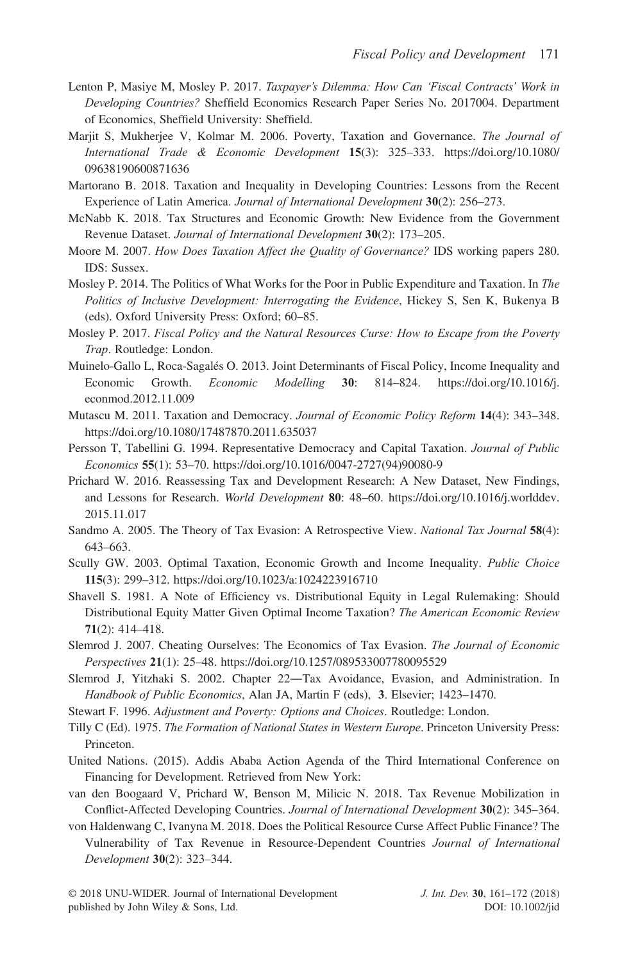- Lenton P, Masiye M, Mosley P. 2017. Taxpayer's Dilemma: How Can 'Fiscal Contracts' Work in Developing Countries? Sheffield Economics Research Paper Series No. 2017004. Department of Economics, Sheffield University: Sheffield.
- Marjit S, Mukherjee V, Kolmar M. 2006. Poverty, Taxation and Governance. The Journal of International Trade & Economic Development 15(3): 325–333. [https://doi.org/10.1080/](https://doi.org/10.1080/09638190600871636) [09638190600871636](https://doi.org/10.1080/09638190600871636)
- Martorano B. 2018. Taxation and Inequality in Developing Countries: Lessons from the Recent Experience of Latin America. Journal of International Development 30(2): 256–273.
- McNabb K. 2018. Tax Structures and Economic Growth: New Evidence from the Government Revenue Dataset. Journal of International Development 30(2): 173-205.
- Moore M. 2007. How Does Taxation Affect the Quality of Governance? IDS working papers 280. IDS: Sussex.
- Mosley P. 2014. The Politics of What Works for the Poor in Public Expenditure and Taxation. In The Politics of Inclusive Development: Interrogating the Evidence, Hickey S, Sen K, Bukenya B (eds). Oxford University Press: Oxford; 60–85.
- Mosley P. 2017. Fiscal Policy and the Natural Resources Curse: How to Escape from the Poverty Trap. Routledge: London.
- Muinelo-Gallo L, Roca-Sagalés O. 2013. Joint Determinants of Fiscal Policy, Income Inequality and Economic Growth. Economic Modelling 30: 814–824. [https://doi.org/10.1016/j.](https://doi.org/10.1016/j.econmod.2012.11.009) [econmod.2012.11.009](https://doi.org/10.1016/j.econmod.2012.11.009)
- Mutascu M. 2011. Taxation and Democracy. Journal of Economic Policy Reform 14(4): 343-348. <https://doi.org/10.1080/17487870.2011.635037>
- Persson T, Tabellini G. 1994. Representative Democracy and Capital Taxation. Journal of Public Economics 55(1): 53–70. [https://doi.org/10.1016/0047-2727\(94\)90080-9](https://doi.org/10.1016/0047-2727(94)90080-9)
- Prichard W. 2016. Reassessing Tax and Development Research: A New Dataset, New Findings, and Lessons for Research. World Development 80: 48-60. [https://doi.org/10.1016/j.worlddev.](https://doi.org/10.1016/j.worlddev.2015.11.017) [2015.11.017](https://doi.org/10.1016/j.worlddev.2015.11.017)
- Sandmo A. 2005. The Theory of Tax Evasion: A Retrospective View. National Tax Journal 58(4): 643–663.
- Scully GW. 2003. Optimal Taxation, Economic Growth and Income Inequality. Public Choice 115(3): 299–312.<https://doi.org/10.1023/a:1024223916710>
- Shavell S. 1981. A Note of Efficiency vs. Distributional Equity in Legal Rulemaking: Should Distributional Equity Matter Given Optimal Income Taxation? The American Economic Review 71(2): 414–418.
- Slemrod J. 2007. Cheating Ourselves: The Economics of Tax Evasion. The Journal of Economic Perspectives 21(1): 25–48.<https://doi.org/10.1257/089533007780095529>
- Slemrod J, Yitzhaki S. 2002. Chapter 22―Tax Avoidance, Evasion, and Administration. In Handbook of Public Economics, Alan JA, Martin F (eds), 3. Elsevier; 1423-1470.
- Stewart F. 1996. Adjustment and Poverty: Options and Choices. Routledge: London.
- Tilly C (Ed). 1975. The Formation of National States in Western Europe. Princeton University Press: Princeton.
- United Nations. (2015). Addis Ababa Action Agenda of the Third International Conference on Financing for Development. Retrieved from New York:
- van den Boogaard V, Prichard W, Benson M, Milicic N. 2018. Tax Revenue Mobilization in Conflict-Affected Developing Countries. Journal of International Development 30(2): 345–364.
- von Haldenwang C, Ivanyna M. 2018. Does the Political Resource Curse Affect Public Finance? The Vulnerability of Tax Revenue in Resource-Dependent Countries Journal of International Development 30(2): 323–344.